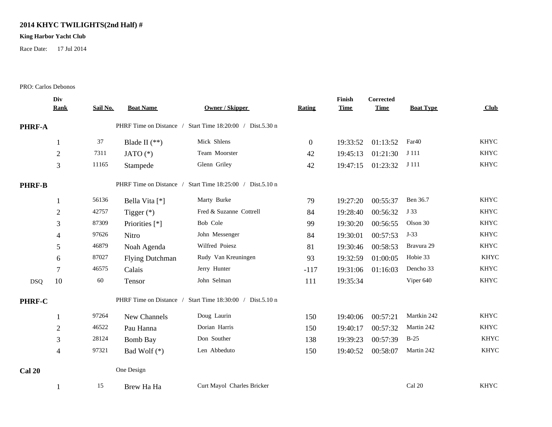## **2014 KHYC TWILIGHTS(2nd Half) #**

## **King Harbor Yacht Club**

Race Date: 17 Jul 2014

## PRO: Carlos Debonos

|               | Div                                                          |          |                         |                                                           |              | Finish      | Corrected   |                  |             |  |
|---------------|--------------------------------------------------------------|----------|-------------------------|-----------------------------------------------------------|--------------|-------------|-------------|------------------|-------------|--|
|               | <b>Rank</b>                                                  | Sail No. | <b>Boat Name</b>        | <b>Owner / Skipper</b>                                    | Rating       | <b>Time</b> | <b>Time</b> | <b>Boat Type</b> | Club        |  |
| PHRF-A        |                                                              |          |                         | PHRF Time on Distance / Start Time 18:20:00 / Dist.5.30 n |              |             |             |                  |             |  |
|               |                                                              | 37       | Blade II $(**)$         | Mick Shlens                                               | $\mathbf{0}$ | 19:33:52    | 01:13:52    | Far40            | <b>KHYC</b> |  |
|               | $\overline{2}$                                               | 7311     | JATO $(*)$              | Team Moorster                                             | 42           | 19:45:13    | 01:21:30    | J 111            | <b>KHYC</b> |  |
|               | 3                                                            | 11165    | Stampede                | Glenn Griley                                              | 42           | 19:47:15    | 01:23:32    | J 111            | <b>KHYC</b> |  |
| <b>PHRF-B</b> | PHRF Time on Distance /<br>Start Time 18:25:00 / Dist.5.10 n |          |                         |                                                           |              |             |             |                  |             |  |
|               |                                                              | 56136    | Bella Vita [*]          | Marty Burke                                               | 79           | 19:27:20    | 00:55:37    | Ben 36.7         | <b>KHYC</b> |  |
|               | $\overline{2}$                                               | 42757    | Tigger $(*)$            | Fred & Suzanne Cottrell                                   | 84           | 19:28:40    | 00:56:32    | J 33             | <b>KHYC</b> |  |
|               | 3                                                            | 87309    | Priorities [*]          | Bob Cole                                                  | 99           | 19:30:20    | 00:56:55    | Olson 30         | <b>KHYC</b> |  |
|               | 4                                                            | 97626    | Nitro                   | John Messenger                                            | 84           | 19:30:01    | 00:57:53    | $J-33$           | <b>KHYC</b> |  |
|               | 5                                                            | 46879    | Noah Agenda             | Wilfred Poiesz                                            | 81           | 19:30:46    | 00:58:53    | Bravura 29       | <b>KHYC</b> |  |
|               | 6                                                            | 87027    | <b>Flying Dutchman</b>  | Rudy Van Kreuningen                                       | 93           | 19:32:59    | 01:00:05    | Hobie 33         | <b>KHYC</b> |  |
|               | $\tau$                                                       | 46575    | Calais                  | Jerry Hunter                                              | $-117$       | 19:31:06    | 01:16:03    | Dencho 33        | <b>KHYC</b> |  |
| <b>DSQ</b>    | 10                                                           | 60       | Tensor                  | John Selman                                               | 111          | 19:35:34    |             | Viper 640        | <b>KHYC</b> |  |
| PHRF-C        |                                                              |          | PHRF Time on Distance / | Start Time 18:30:00 / Dist.5.10 n                         |              |             |             |                  |             |  |
|               | 1                                                            | 97264    | New Channels            | Doug Laurin                                               | 150          | 19:40:06    | 00:57:21    | Martkin 242      | <b>KHYC</b> |  |
|               | $\overline{c}$                                               | 46522    | Pau Hanna               | Dorian Harris                                             | 150          | 19:40:17    | 00:57:32    | Martin 242       | <b>KHYC</b> |  |
|               | 3                                                            | 28124    | <b>Bomb Bay</b>         | Don Souther                                               | 138          | 19:39:23    | 00:57:39    | $B-25$           | <b>KHYC</b> |  |
|               | $\overline{4}$                                               | 97321    | Bad Wolf $(*)$          | Len Abbeduto                                              | 150          | 19:40:52    | 00:58:07    | Martin 242       | <b>KHYC</b> |  |
| <b>Cal 20</b> |                                                              |          | One Design              |                                                           |              |             |             |                  |             |  |
|               |                                                              | 15       | Brew Ha Ha              | Curt Mayol Charles Bricker                                |              |             |             | Cal 20           | <b>KHYC</b> |  |